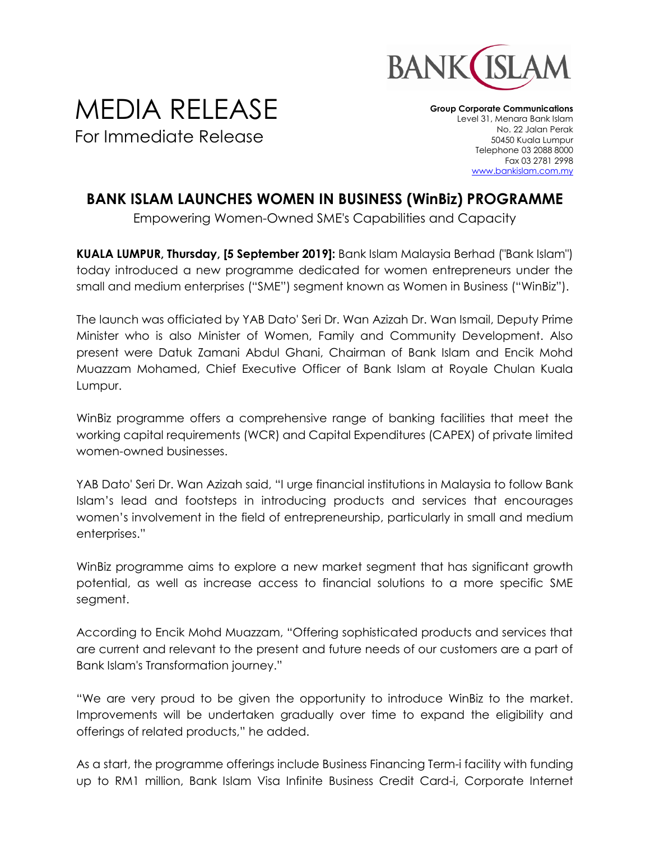

## MEDIA RELEASE For Immediate Release

**Group Corporate Communications** Level 31, Menara Bank Islam No. 22 Jalan Perak 50450 Kuala Lumpur Telephone 03 2088 8000 Fax 03 2781 2998 [www.bankislam.com.my](http://www.bankislam.com.my/)

## **BANK ISLAM LAUNCHES WOMEN IN BUSINESS (WinBiz) PROGRAMME**

Empowering Women-Owned SME's Capabilities and Capacity

**KUALA LUMPUR, Thursday, [5 September 2019]:** Bank Islam Malaysia Berhad ("Bank Islam") today introduced a new programme dedicated for women entrepreneurs under the small and medium enterprises ("SME") segment known as Women in Business ("WinBiz").

The launch was officiated by YAB Dato' Seri Dr. Wan Azizah Dr. Wan Ismail, Deputy Prime Minister who is also Minister of Women, Family and Community Development. Also present were Datuk Zamani Abdul Ghani, Chairman of Bank Islam and Encik Mohd Muazzam Mohamed, Chief Executive Officer of Bank Islam at Royale Chulan Kuala Lumpur.

WinBiz programme offers a comprehensive range of banking facilities that meet the working capital requirements (WCR) and Capital Expenditures (CAPEX) of private limited women-owned businesses.

YAB Dato' Seri Dr. Wan Azizah said, "I urge financial institutions in Malaysia to follow Bank Islam's lead and footsteps in introducing products and services that encourages women's involvement in the field of entrepreneurship, particularly in small and medium enterprises."

WinBiz programme aims to explore a new market segment that has significant growth potential, as well as increase access to financial solutions to a more specific SME segment.

According to Encik Mohd Muazzam, "Offering sophisticated products and services that are current and relevant to the present and future needs of our customers are a part of Bank Islam's Transformation journey."

"We are very proud to be given the opportunity to introduce WinBiz to the market. Improvements will be undertaken gradually over time to expand the eligibility and offerings of related products," he added.

As a start, the programme offerings include Business Financing Term-i facility with funding up to RM1 million, Bank Islam Visa Infinite Business Credit Card-i, Corporate Internet